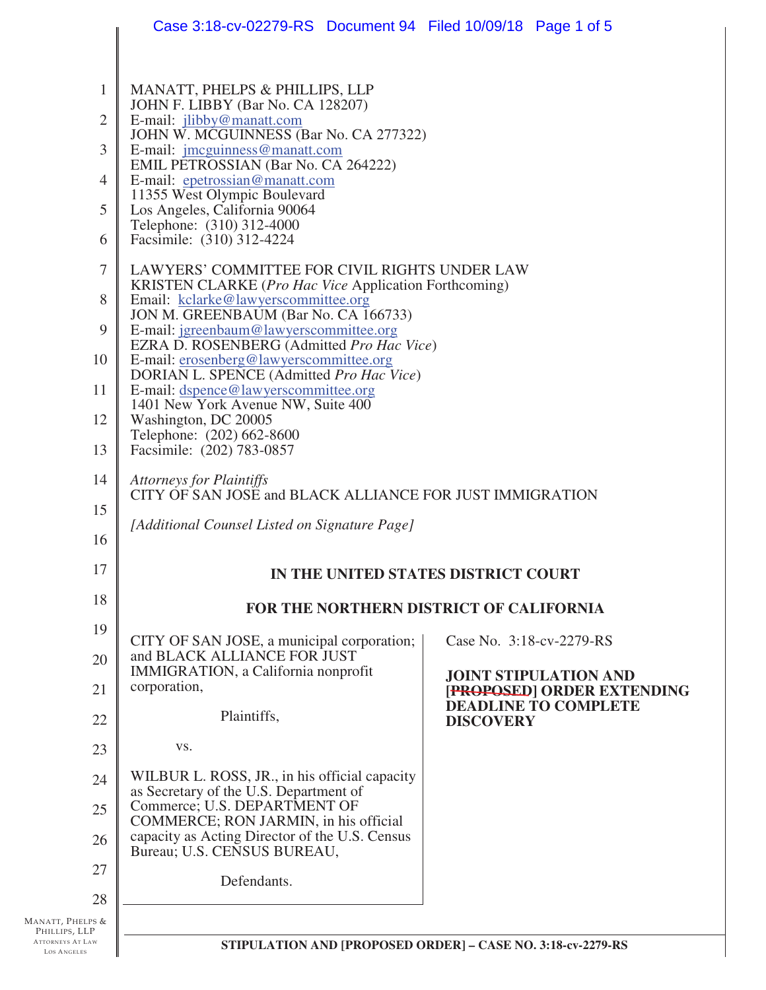|                                                                                    | Case 3:18-cv-02279-RS  Document 94  Filed 10/09/18  Page 1 of 5                                                                                                                                                                                                                                                                                                                                                                                                                                                                                                                                                                                                                      |                                                            |  |  |  |
|------------------------------------------------------------------------------------|--------------------------------------------------------------------------------------------------------------------------------------------------------------------------------------------------------------------------------------------------------------------------------------------------------------------------------------------------------------------------------------------------------------------------------------------------------------------------------------------------------------------------------------------------------------------------------------------------------------------------------------------------------------------------------------|------------------------------------------------------------|--|--|--|
| $\mathbf{1}$<br>$\overline{2}$<br>3<br>$\overline{4}$<br>5<br>6                    | MANATT, PHELPS & PHILLIPS, LLP<br>JOHN F. LIBBY (Bar No. CA 128207)<br>E-mail: jlibby@manatt.com<br>JOHN W. MCGUINNESS (Bar No. CA 277322)<br>E-mail: jmcguinness@manatt.com<br>EMIL PETROSSIAN (Bar No. CA 264222)<br>E-mail: epetrossian@manatt.com<br>11355 West Olympic Boulevard<br>Los Angeles, California 90064<br>Telephone: (310) 312-4000<br>Facsimile: (310) 312-4224                                                                                                                                                                                                                                                                                                     |                                                            |  |  |  |
| $\tau$<br>8<br>9<br>10<br>11<br>12<br>13<br>14<br>15<br>16                         | LAWYERS' COMMITTEE FOR CIVIL RIGHTS UNDER LAW<br>KRISTEN CLARKE (Pro Hac Vice Application Forthcoming)<br>Email: kclarke@lawyerscommittee.org<br>JON M. GREENBAUM (Bar No. CA 166733)<br>E-mail: jgreenbaum@lawyerscommittee.org<br>EZRA D. ROSENBERG (Admitted Pro Hac Vice)<br>E-mail: erosenberg@lawyerscommittee.org<br>DORIAN L. SPENCE (Admitted Pro Hac Vice)<br>E-mail: dspence@lawyerscommittee.org<br>1401 New York Avenue NW, Suite 400<br>Washington, DC 20005<br>Telephone: (202) 662-8600<br>Facsimile: (202) 783-0857<br><b>Attorneys for Plaintiffs</b><br>CITY OF SAN JOSE and BLACK ALLIANCE FOR JUST IMMIGRATION<br>[Additional Counsel Listed on Signature Page] |                                                            |  |  |  |
| 17                                                                                 | IN THE UNITED STATES DISTRICT COURT                                                                                                                                                                                                                                                                                                                                                                                                                                                                                                                                                                                                                                                  |                                                            |  |  |  |
| 18                                                                                 | FOR THE NORTHERN DISTRICT OF CALIFORNIA                                                                                                                                                                                                                                                                                                                                                                                                                                                                                                                                                                                                                                              |                                                            |  |  |  |
| 19                                                                                 | CITY OF SAN JOSE, a municipal corporation;                                                                                                                                                                                                                                                                                                                                                                                                                                                                                                                                                                                                                                           | Case No. 3:18-cv-2279-RS                                   |  |  |  |
| 20<br>21                                                                           | and BLACK ALLIANCE FOR JUST<br>IMMIGRATION, a California nonprofit<br>corporation,                                                                                                                                                                                                                                                                                                                                                                                                                                                                                                                                                                                                   | <b>JOINT STIPULATION AND</b><br>[PROPOSED] ORDER EXTENDING |  |  |  |
| 22                                                                                 | Plaintiffs,                                                                                                                                                                                                                                                                                                                                                                                                                                                                                                                                                                                                                                                                          | <b>DEADLINE TO COMPLETE</b><br><b>DISCOVERY</b>            |  |  |  |
| 23                                                                                 | VS.                                                                                                                                                                                                                                                                                                                                                                                                                                                                                                                                                                                                                                                                                  |                                                            |  |  |  |
| 24                                                                                 | WILBUR L. ROSS, JR., in his official capacity<br>as Secretary of the U.S. Department of                                                                                                                                                                                                                                                                                                                                                                                                                                                                                                                                                                                              |                                                            |  |  |  |
| 25                                                                                 | Commerce; U.S. DEPARTMENT OF<br>COMMERCE; RON JARMIN, in his official                                                                                                                                                                                                                                                                                                                                                                                                                                                                                                                                                                                                                |                                                            |  |  |  |
| 26                                                                                 | capacity as Acting Director of the U.S. Census<br>Bureau; U.S. CENSUS BUREAU,                                                                                                                                                                                                                                                                                                                                                                                                                                                                                                                                                                                                        |                                                            |  |  |  |
| 27<br>28                                                                           | Defendants.                                                                                                                                                                                                                                                                                                                                                                                                                                                                                                                                                                                                                                                                          |                                                            |  |  |  |
| MANATT, PHELPS &<br>PHILLIPS, LLP<br><b>ATTORNEYS AT LAW</b><br><b>LOS ANGELES</b> | STIPULATION AND [PROPOSED ORDER] - CASE NO. 3:18-cv-2279-RS                                                                                                                                                                                                                                                                                                                                                                                                                                                                                                                                                                                                                          |                                                            |  |  |  |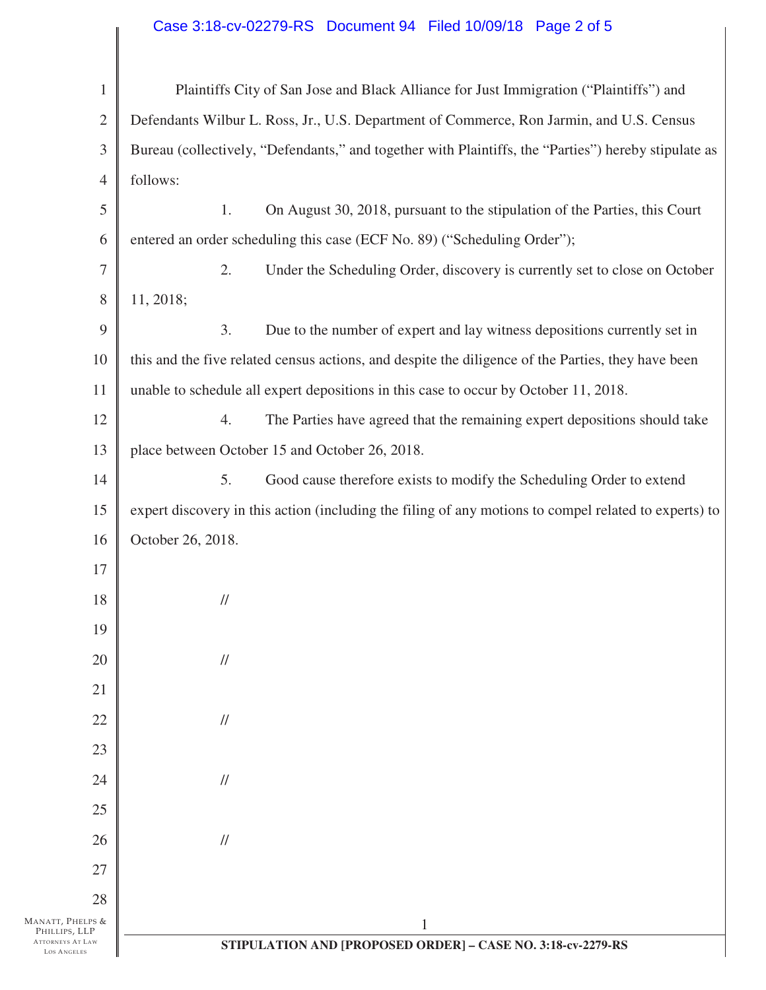## Case 3:18-cv-02279-RS Document 94 Filed 10/09/18 Page 2 of 5

 $\mathbb I$ 

| $\mathbf{1}$                                            | Plaintiffs City of San Jose and Black Alliance for Just Immigration ("Plaintiffs") and                |  |
|---------------------------------------------------------|-------------------------------------------------------------------------------------------------------|--|
| $\overline{2}$                                          | Defendants Wilbur L. Ross, Jr., U.S. Department of Commerce, Ron Jarmin, and U.S. Census              |  |
| 3                                                       | Bureau (collectively, "Defendants," and together with Plaintiffs, the "Parties") hereby stipulate as  |  |
| 4                                                       | follows:                                                                                              |  |
| 5                                                       | On August 30, 2018, pursuant to the stipulation of the Parties, this Court<br>1.                      |  |
| 6                                                       | entered an order scheduling this case (ECF No. 89) ("Scheduling Order");                              |  |
| 7                                                       | 2.<br>Under the Scheduling Order, discovery is currently set to close on October                      |  |
| 8                                                       | 11, 2018;                                                                                             |  |
| 9                                                       | 3.<br>Due to the number of expert and lay witness depositions currently set in                        |  |
| 10                                                      | this and the five related census actions, and despite the diligence of the Parties, they have been    |  |
| 11                                                      | unable to schedule all expert depositions in this case to occur by October 11, 2018.                  |  |
| 12                                                      | 4.<br>The Parties have agreed that the remaining expert depositions should take                       |  |
| 13                                                      | place between October 15 and October 26, 2018.                                                        |  |
| 14                                                      | 5.<br>Good cause therefore exists to modify the Scheduling Order to extend                            |  |
| 15                                                      | expert discovery in this action (including the filing of any motions to compel related to experts) to |  |
| 16                                                      | October 26, 2018.                                                                                     |  |
| 17                                                      |                                                                                                       |  |
| 18                                                      | $\ensuremath{\mathnormal{/\!/}}$                                                                      |  |
| 19                                                      |                                                                                                       |  |
| 20                                                      | $\frac{1}{2}$                                                                                         |  |
| 21                                                      |                                                                                                       |  |
| 22                                                      | $\frac{1}{2}$                                                                                         |  |
| 23                                                      |                                                                                                       |  |
| 24                                                      | $\frac{1}{2}$                                                                                         |  |
| 25                                                      |                                                                                                       |  |
| 26                                                      | $\frac{1}{2}$                                                                                         |  |
| 27                                                      |                                                                                                       |  |
| 28<br>MANATT, PHELPS &                                  | $\mathbf{1}$                                                                                          |  |
| PHILLIPS, LLP<br><b>ATTORNEYS AT LAW</b><br>LOS ANGELES | STIPULATION AND [PROPOSED ORDER] - CASE NO. 3:18-cv-2279-RS                                           |  |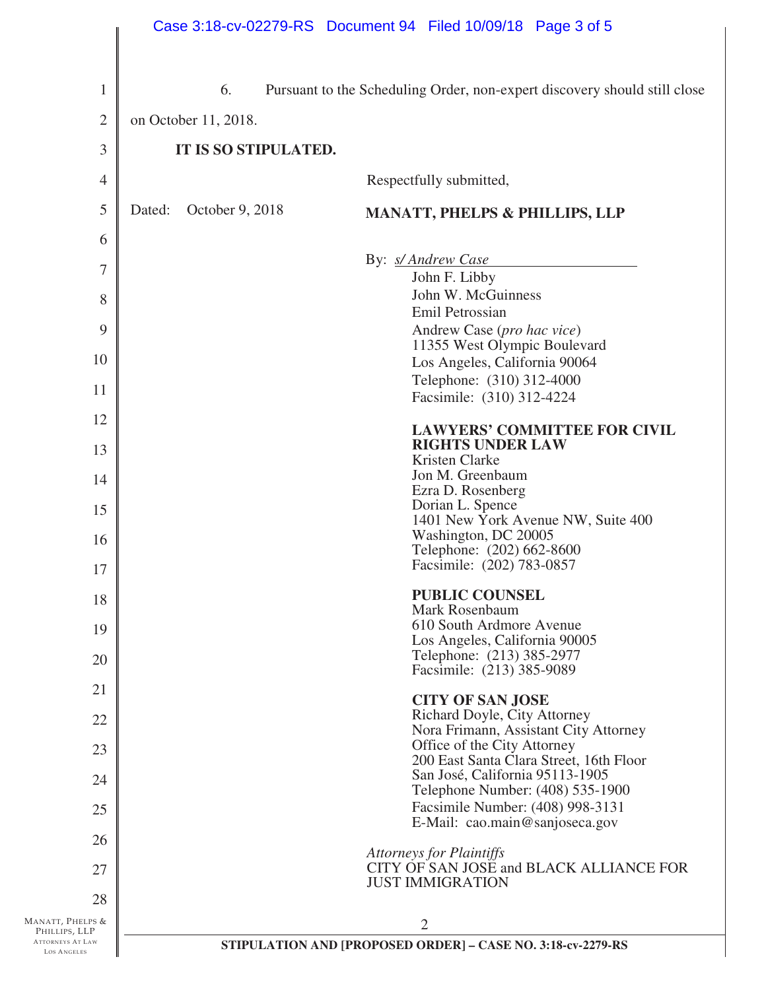|                                               |        |                      | Case 3:18-cv-02279-RS Document 94 Filed 10/09/18 Page 3 of 5               |
|-----------------------------------------------|--------|----------------------|----------------------------------------------------------------------------|
| $\mathbf{1}$                                  |        | 6.                   | Pursuant to the Scheduling Order, non-expert discovery should still close  |
| $\overline{2}$                                |        | on October 11, 2018. |                                                                            |
| 3                                             |        | IT IS SO STIPULATED. |                                                                            |
| $\overline{4}$                                |        |                      | Respectfully submitted,                                                    |
| 5                                             | Dated: | October 9, 2018      | <b>MANATT, PHELPS &amp; PHILLIPS, LLP</b>                                  |
| 6                                             |        |                      |                                                                            |
| $\overline{7}$                                |        |                      | By: s/Andrew Case                                                          |
| 8                                             |        |                      | John F. Libby<br>John W. McGuinness                                        |
|                                               |        |                      | Emil Petrossian                                                            |
| 9                                             |        |                      | Andrew Case (pro hac vice)<br>11355 West Olympic Boulevard                 |
| 10                                            |        |                      | Los Angeles, California 90064                                              |
| 11                                            |        |                      | Telephone: (310) 312-4000                                                  |
|                                               |        |                      | Facsimile: (310) 312-4224                                                  |
| 12<br>13                                      |        |                      | <b>LAWYERS' COMMITTEE FOR CIVIL</b><br><b>RIGHTS UNDER LAW</b>             |
|                                               |        |                      | Kristen Clarke                                                             |
| 14                                            |        |                      | Jon M. Greenbaum<br>Ezra D. Rosenberg                                      |
| 15                                            |        |                      | Dorian L. Spence<br>1401 New York Avenue NW, Suite 400                     |
| 16                                            |        |                      | Washington, DC 20005<br>Telephone: (202) 662-8600                          |
| 17                                            |        |                      | Facsimile: (202) 783-0857                                                  |
| 18                                            |        |                      | <b>PUBLIC COUNSEL</b>                                                      |
| 19                                            |        |                      | Mark Rosenbaum<br>610 South Ardmore Avenue                                 |
|                                               |        |                      | Los Angeles, California 90005                                              |
| 20                                            |        |                      | Telephone: (213) 385-2977<br>Facsimile: (213) 385-9089                     |
| 21                                            |        |                      | <b>CITY OF SAN JOSE</b>                                                    |
| 22                                            |        |                      | Richard Doyle, City Attorney                                               |
| 23                                            |        |                      | Nora Frimann, Assistant City Attorney<br>Office of the City Attorney       |
|                                               |        |                      | 200 East Santa Clara Street, 16th Floor<br>San José, California 95113-1905 |
| 24                                            |        |                      | Telephone Number: (408) 535-1900                                           |
| 25                                            |        |                      | Facsimile Number: (408) 998-3131<br>E-Mail: cao.main@sanjoseca.gov         |
| 26                                            |        |                      | <b>Attorneys for Plaintiffs</b>                                            |
| 27                                            |        |                      | CITY OF SAN JOSE and BLACK ALLIANCE FOR<br><b>JUST IMMIGRATION</b>         |
| 28                                            |        |                      |                                                                            |
| Manatt, Phelps &<br>PHILLIPS, LLP             |        |                      | 2                                                                          |
| <b>ATTORNEYS AT LAW</b><br><b>LOS ANGELES</b> |        |                      | STIPULATION AND [PROPOSED ORDER] - CASE NO. 3:18-cv-2279-RS                |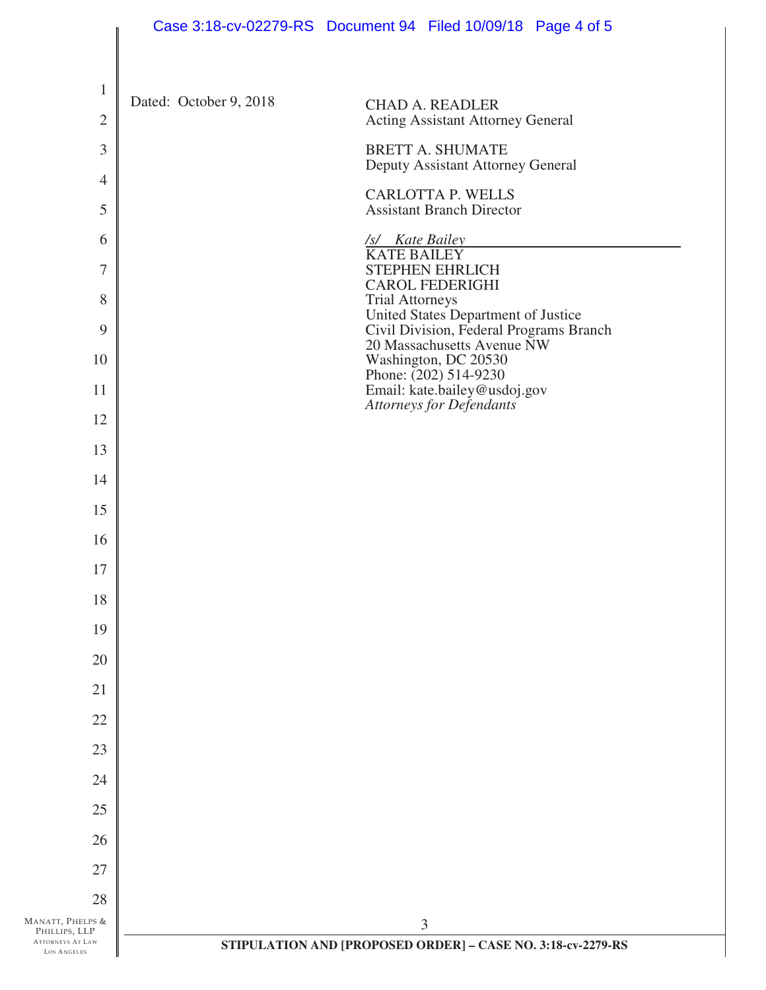|                                                  | Case 3:18-cv-02279-RS  Document 94  Filed 10/09/18  Page 4 of 5                                          |
|--------------------------------------------------|----------------------------------------------------------------------------------------------------------|
| $\mathbf{1}$                                     | Dated: October 9, 2018                                                                                   |
| $\mathbf{2}$                                     | <b>CHAD A. READLER</b><br><b>Acting Assistant Attorney General</b>                                       |
| 3                                                | <b>BRETT A. SHUMATE</b><br>Deputy Assistant Attorney General                                             |
| $\overline{4}$                                   | <b>CARLOTTA P. WELLS</b>                                                                                 |
| 5                                                | <b>Assistant Branch Director</b>                                                                         |
| 6                                                | /s/ Kate Bailey<br><b>KATE BAILEY</b>                                                                    |
| 7                                                | <b>STEPHEN EHRLICH</b><br><b>CAROL FEDERIGHI</b>                                                         |
| 8<br>9                                           | <b>Trial Attorneys</b><br>United States Department of Justice<br>Civil Division, Federal Programs Branch |
| 10                                               | 20 Massachusetts Avenue NW<br>Washington, DC 20530                                                       |
| 11                                               | Phone: (202) 514-9230<br>Email: kate.bailey@usdoj.gov                                                    |
| 12                                               | <b>Attorneys for Defendants</b>                                                                          |
| 13                                               |                                                                                                          |
| 14                                               |                                                                                                          |
| 15                                               |                                                                                                          |
| 16                                               |                                                                                                          |
| 17                                               |                                                                                                          |
| 18                                               |                                                                                                          |
| 19                                               |                                                                                                          |
| 20                                               |                                                                                                          |
| 21                                               |                                                                                                          |
| 22                                               |                                                                                                          |
| 23                                               |                                                                                                          |
| 24                                               |                                                                                                          |
| 25                                               |                                                                                                          |
| 26                                               |                                                                                                          |
| 27                                               |                                                                                                          |
| 28<br>MANATT, PHELPS &                           |                                                                                                          |
| PHILLIPS, LLP<br>ATTORNEYS AT LAW<br>LOS ANGELES | 3<br>STIPULATION AND [PROPOSED ORDER] - CASE NO. 3:18-cv-2279-RS                                         |
|                                                  |                                                                                                          |